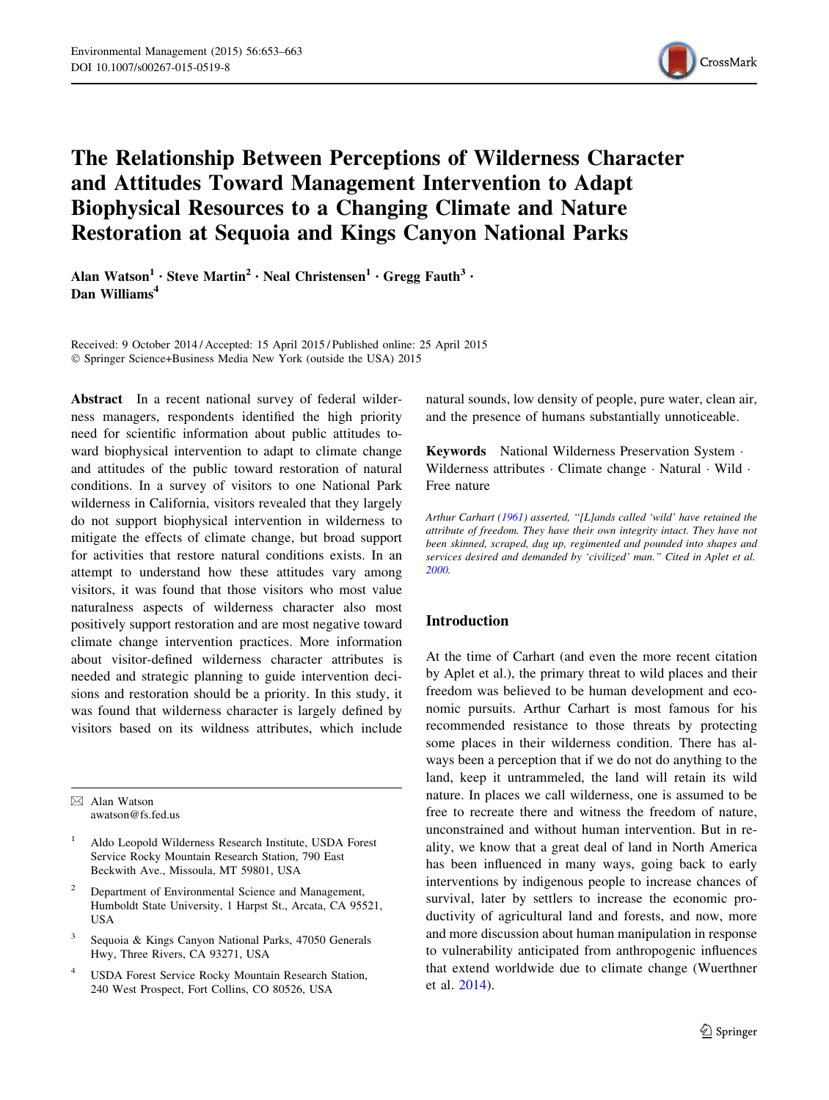

# <span id="page-0-0"></span>The Relationship Between Perceptions of Wilderness Character and Attitudes Toward Management Intervention to Adapt Biophysical Resources to a Changing Climate and Nature Restoration at Sequoia and Kings Canyon National Parks

Alan Watson<sup>1</sup> • Steve Martin<sup>2</sup> • Neal Christensen<sup>1</sup> • Gregg Fauth<sup>3</sup> • Dan Williams<sup>4</sup>

Received: 9 October 2014 / Accepted: 15 April 2015 / Published online: 25 April 2015 © Springer Science+Business Media New York (outside the USA) 2015

Abstract In a recent national survey of federal wilderness managers, respondents identified the high priority need for scientific information about public attitudes toward biophysical intervention to adapt to climate change and attitudes of the public toward restoration of natural conditions. In a survey of visitors to one National Park wilderness in California, visitors revealed that they largely do not support biophysical intervention in wilderness to mitigate the effects of climate change, but broad support for activities that restore natural conditions exists. In an attempt to understand how these attitudes vary among visitors, it was found that those visitors who most value naturalness aspects of wilderness character also most positively support restoration and are most negative toward climate change intervention practices. More information about visitor-defined wilderness character attributes is needed and strategic planning to guide intervention decisions and restoration should be a priority. In this study, it was found that wilderness character is largely defined by visitors based on its wildness attributes, which include

 $\boxtimes$  Alan Watson awatson@fs.fed.us

- <sup>1</sup> Aldo Leopold Wilderness Research Institute, USDA Forest Service Rocky Mountain Research Station, 790 East Beckwith Ave., Missoula, MT 59801, USA
- <sup>2</sup> Department of Environmental Science and Management, Humboldt State University, 1 Harpst St., Arcata, CA 95521, USA
- Sequoia & Kings Canyon National Parks, 47050 Generals Hwy, Three Rivers, CA 93271, USA
- <sup>4</sup> USDA Forest Service Rocky Mountain Research Station, 240 West Prospect, Fort Collins, CO 80526, USA

natural sounds, low density of people, pure water, clean air, and the presence of humans substantially unnoticeable.

Keywords National Wilderness Preservation System - Wilderness attributes · Climate change · Natural · Wild · Free nature

Arthur Carhart [\(1961](#page-10-0)) asserted, ''[L]ands called 'wild' have retained the attribute of freedom. They have their own integrity intact. They have not been skinned, scraped, dug up, regimented and pounded into shapes and services desired and demanded by 'civilized' man.'' Cited in Aplet et al. [2000](#page-10-0).

# Introduction

At the time of Carhart (and even the more recent citation by Aplet et al.), the primary threat to wild places and their freedom was believed to be human development and economic pursuits. Arthur Carhart is most famous for his recommended resistance to those threats by protecting some places in their wilderness condition. There has always been a perception that if we do not do anything to the land, keep it untrammeled, the land will retain its wild nature. In places we call wilderness, one is assumed to be free to recreate there and witness the freedom of nature, unconstrained and without human intervention. But in reality, we know that a great deal of land in North America has been influenced in many ways, going back to early interventions by indigenous people to increase chances of survival, later by settlers to increase the economic productivity of agricultural land and forests, and now, more and more discussion about human manipulation in response to vulnerability anticipated from anthropogenic influences that extend worldwide due to climate change (Wuerthner et al. [2014\)](#page-10-0).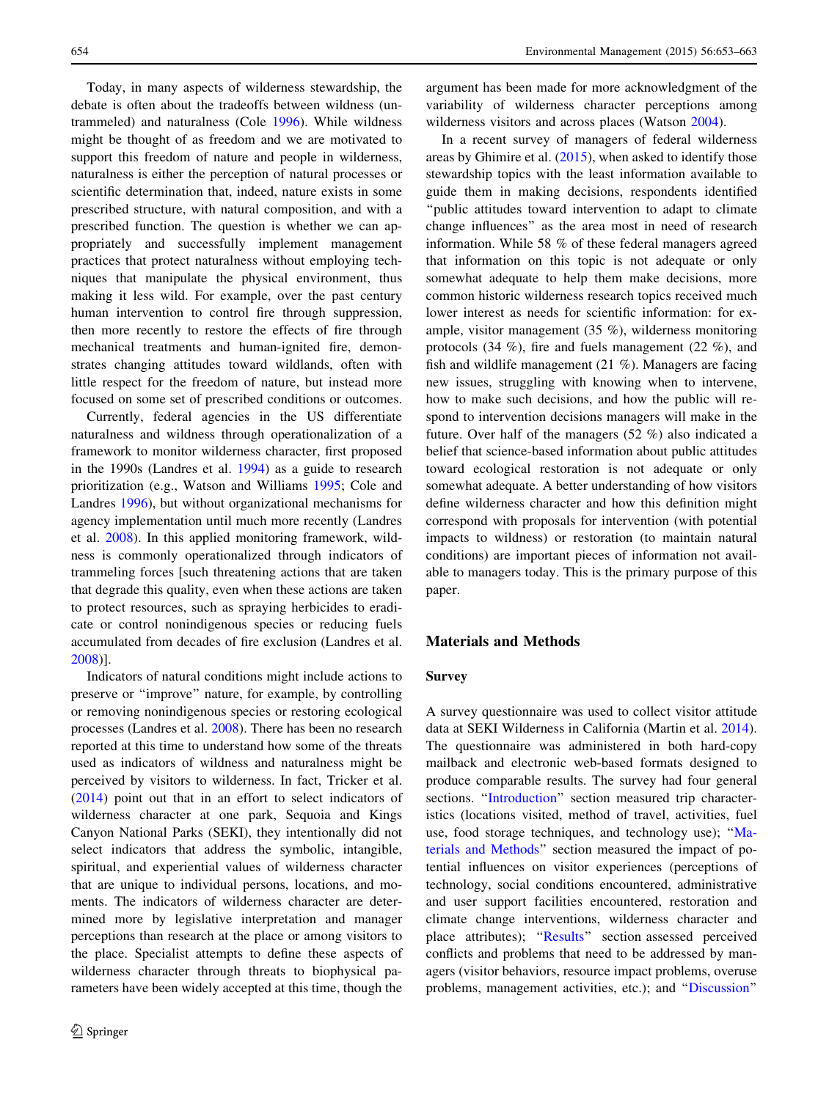<span id="page-1-0"></span>Today, in many aspects of wilderness stewardship, the debate is often about the tradeoffs between wildness (untrammeled) and naturalness (Cole [1996\)](#page-10-0). While wildness might be thought of as freedom and we are motivated to support this freedom of nature and people in wilderness, naturalness is either the perception of natural processes or scientific determination that, indeed, nature exists in some prescribed structure, with natural composition, and with a prescribed function. The question is whether we can appropriately and successfully implement management practices that protect naturalness without employing techniques that manipulate the physical environment, thus making it less wild. For example, over the past century human intervention to control fire through suppression, then more recently to restore the effects of fire through mechanical treatments and human-ignited fire, demonstrates changing attitudes toward wildlands, often with little respect for the freedom of nature, but instead more focused on some set of prescribed conditions or outcomes.

Currently, federal agencies in the US differentiate naturalness and wildness through operationalization of a framework to monitor wilderness character, first proposed in the 1990s (Landres et al. [1994](#page-10-0)) as a guide to research prioritization (e.g., Watson and Williams [1995](#page-10-0); Cole and Landres [1996](#page-10-0)), but without organizational mechanisms for agency implementation until much more recently (Landres et al. [2008\)](#page-10-0). In this applied monitoring framework, wildness is commonly operationalized through indicators of trammeling forces [such threatening actions that are taken that degrade this quality, even when these actions are taken to protect resources, such as spraying herbicides to eradicate or control nonindigenous species or reducing fuels accumulated from decades of fire exclusion (Landres et al. [2008\)](#page-10-0)].

Indicators of natural conditions might include actions to preserve or ''improve'' nature, for example, by controlling or removing nonindigenous species or restoring ecological processes (Landres et al. [2008\)](#page-10-0). There has been no research reported at this time to understand how some of the threats used as indicators of wildness and naturalness might be perceived by visitors to wilderness. In fact, Tricker et al. [\(2014](#page-10-0)) point out that in an effort to select indicators of wilderness character at one park, Sequoia and Kings Canyon National Parks (SEKI), they intentionally did not select indicators that address the symbolic, intangible, spiritual, and experiential values of wilderness character that are unique to individual persons, locations, and moments. The indicators of wilderness character are determined more by legislative interpretation and manager perceptions than research at the place or among visitors to the place. Specialist attempts to define these aspects of wilderness character through threats to biophysical parameters have been widely accepted at this time, though the argument has been made for more acknowledgment of the variability of wilderness character perceptions among wilderness visitors and across places (Watson [2004\)](#page-10-0).

In a recent survey of managers of federal wilderness areas by Ghimire et al. [\(2015](#page-10-0)), when asked to identify those stewardship topics with the least information available to guide them in making decisions, respondents identified ''public attitudes toward intervention to adapt to climate change influences'' as the area most in need of research information. While 58 % of these federal managers agreed that information on this topic is not adequate or only somewhat adequate to help them make decisions, more common historic wilderness research topics received much lower interest as needs for scientific information: for example, visitor management (35 %), wilderness monitoring protocols (34 %), fire and fuels management (22 %), and fish and wildlife management (21 %). Managers are facing new issues, struggling with knowing when to intervene, how to make such decisions, and how the public will respond to intervention decisions managers will make in the future. Over half of the managers (52 %) also indicated a belief that science-based information about public attitudes toward ecological restoration is not adequate or only somewhat adequate. A better understanding of how visitors define wilderness character and how this definition might correspond with proposals for intervention (with potential impacts to wildness) or restoration (to maintain natural conditions) are important pieces of information not available to managers today. This is the primary purpose of this paper.

#### Materials and Methods

#### Survey

A survey questionnaire was used to collect visitor attitude data at SEKI Wilderness in California (Martin et al. [2014](#page-10-0)). The questionnaire was administered in both hard-copy mailback and electronic web-based formats designed to produce comparable results. The survey had four general sections. "[Introduction](#page-0-0)" section measured trip characteristics (locations visited, method of travel, activities, fuel use, food storage techniques, and technology use); "Materials and Methods'' section measured the impact of potential influences on visitor experiences (perceptions of technology, social conditions encountered, administrative and user support facilities encountered, restoration and climate change interventions, wilderness character and place attributes); "[Results](#page-4-0)" section assessed perceived conflicts and problems that need to be addressed by managers (visitor behaviors, resource impact problems, overuse problems, management activities, etc.); and ''[Discussion'](#page-8-0)'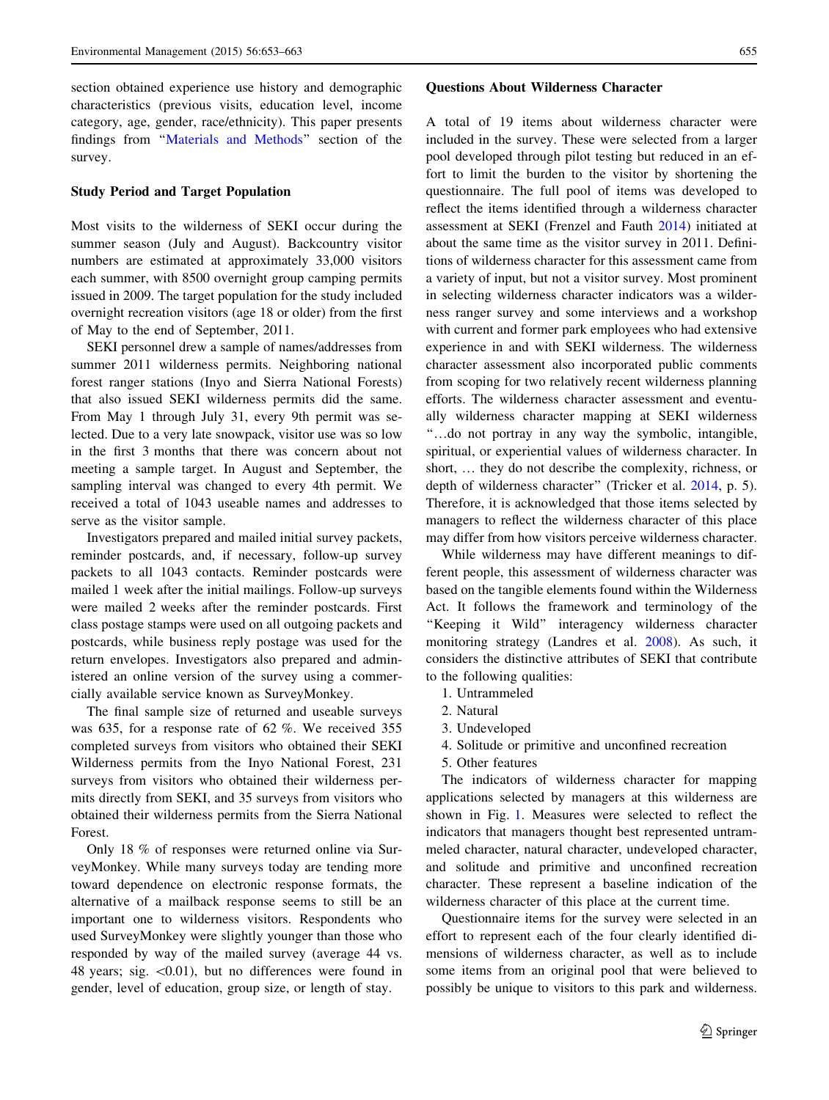section obtained experience use history and demographic characteristics (previous visits, education level, income category, age, gender, race/ethnicity). This paper presents findings from '['Materials and Methods'](#page-1-0)' section of the survey.

#### Study Period and Target Population

Most visits to the wilderness of SEKI occur during the summer season (July and August). Backcountry visitor numbers are estimated at approximately 33,000 visitors each summer, with 8500 overnight group camping permits issued in 2009. The target population for the study included overnight recreation visitors (age 18 or older) from the first of May to the end of September, 2011.

SEKI personnel drew a sample of names/addresses from summer 2011 wilderness permits. Neighboring national forest ranger stations (Inyo and Sierra National Forests) that also issued SEKI wilderness permits did the same. From May 1 through July 31, every 9th permit was selected. Due to a very late snowpack, visitor use was so low in the first 3 months that there was concern about not meeting a sample target. In August and September, the sampling interval was changed to every 4th permit. We received a total of 1043 useable names and addresses to serve as the visitor sample.

Investigators prepared and mailed initial survey packets, reminder postcards, and, if necessary, follow-up survey packets to all 1043 contacts. Reminder postcards were mailed 1 week after the initial mailings. Follow-up surveys were mailed 2 weeks after the reminder postcards. First class postage stamps were used on all outgoing packets and postcards, while business reply postage was used for the return envelopes. Investigators also prepared and administered an online version of the survey using a commercially available service known as SurveyMonkey.

The final sample size of returned and useable surveys was 635, for a response rate of 62 %. We received 355 completed surveys from visitors who obtained their SEKI Wilderness permits from the Inyo National Forest, 231 surveys from visitors who obtained their wilderness permits directly from SEKI, and 35 surveys from visitors who obtained their wilderness permits from the Sierra National Forest.

Only 18 % of responses were returned online via SurveyMonkey. While many surveys today are tending more toward dependence on electronic response formats, the alternative of a mailback response seems to still be an important one to wilderness visitors. Respondents who used SurveyMonkey were slightly younger than those who responded by way of the mailed survey (average 44 vs. 48 years; sig.  $\langle 0.01 \rangle$ , but no differences were found in gender, level of education, group size, or length of stay.

#### Questions About Wilderness Character

A total of 19 items about wilderness character were included in the survey. These were selected from a larger pool developed through pilot testing but reduced in an effort to limit the burden to the visitor by shortening the questionnaire. The full pool of items was developed to reflect the items identified through a wilderness character assessment at SEKI (Frenzel and Fauth [2014](#page-10-0)) initiated at about the same time as the visitor survey in 2011. Definitions of wilderness character for this assessment came from a variety of input, but not a visitor survey. Most prominent in selecting wilderness character indicators was a wilderness ranger survey and some interviews and a workshop with current and former park employees who had extensive experience in and with SEKI wilderness. The wilderness character assessment also incorporated public comments from scoping for two relatively recent wilderness planning efforts. The wilderness character assessment and eventually wilderness character mapping at SEKI wilderness ''…do not portray in any way the symbolic, intangible, spiritual, or experiential values of wilderness character. In short, … they do not describe the complexity, richness, or depth of wilderness character'' (Tricker et al. [2014](#page-10-0), p. 5). Therefore, it is acknowledged that those items selected by managers to reflect the wilderness character of this place may differ from how visitors perceive wilderness character.

While wilderness may have different meanings to different people, this assessment of wilderness character was based on the tangible elements found within the Wilderness Act. It follows the framework and terminology of the ''Keeping it Wild'' interagency wilderness character monitoring strategy (Landres et al. [2008\)](#page-10-0). As such, it considers the distinctive attributes of SEKI that contribute to the following qualities:

- 1. Untrammeled
- 2. Natural
- 3. Undeveloped
- 4. Solitude or primitive and unconfined recreation
- 5. Other features

The indicators of wilderness character for mapping applications selected by managers at this wilderness are shown in Fig. [1.](#page-3-0) Measures were selected to reflect the indicators that managers thought best represented untrammeled character, natural character, undeveloped character, and solitude and primitive and unconfined recreation character. These represent a baseline indication of the wilderness character of this place at the current time.

Questionnaire items for the survey were selected in an effort to represent each of the four clearly identified dimensions of wilderness character, as well as to include some items from an original pool that were believed to possibly be unique to visitors to this park and wilderness.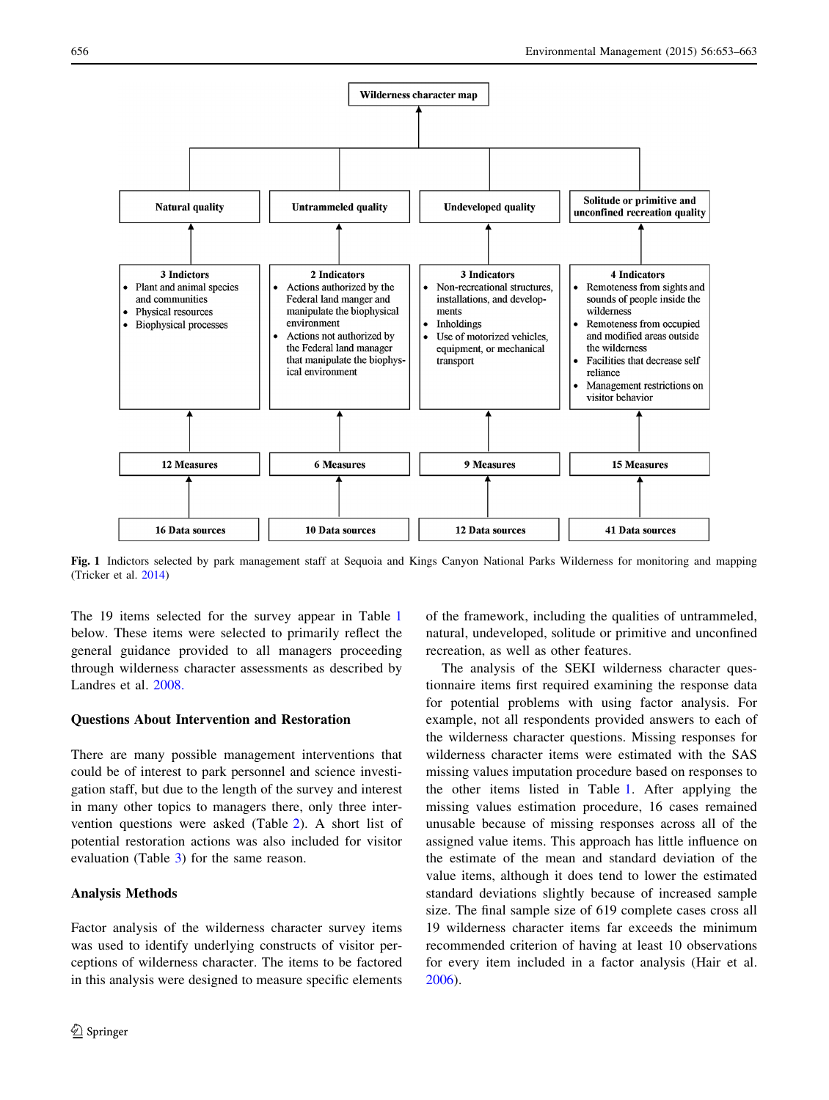<span id="page-3-0"></span>

Fig. 1 Indictors selected by park management staff at Sequoia and Kings Canyon National Parks Wilderness for monitoring and mapping (Tricker et al. [2014\)](#page-10-0)

The 19 items selected for the survey appear in Table [1](#page-4-0) below. These items were selected to primarily reflect the general guidance provided to all managers proceeding through wilderness character assessments as described by Landres et al. [2008.](#page-10-0)

## Questions About Intervention and Restoration

There are many possible management interventions that could be of interest to park personnel and science investigation staff, but due to the length of the survey and interest in many other topics to managers there, only three intervention questions were asked (Table [2\)](#page-4-0). A short list of potential restoration actions was also included for visitor evaluation (Table [3\)](#page-4-0) for the same reason.

# Analysis Methods

Factor analysis of the wilderness character survey items was used to identify underlying constructs of visitor perceptions of wilderness character. The items to be factored in this analysis were designed to measure specific elements of the framework, including the qualities of untrammeled, natural, undeveloped, solitude or primitive and unconfined recreation, as well as other features.

The analysis of the SEKI wilderness character questionnaire items first required examining the response data for potential problems with using factor analysis. For example, not all respondents provided answers to each of the wilderness character questions. Missing responses for wilderness character items were estimated with the SAS missing values imputation procedure based on responses to the other items listed in Table [1.](#page-4-0) After applying the missing values estimation procedure, 16 cases remained unusable because of missing responses across all of the assigned value items. This approach has little influence on the estimate of the mean and standard deviation of the value items, although it does tend to lower the estimated standard deviations slightly because of increased sample size. The final sample size of 619 complete cases cross all 19 wilderness character items far exceeds the minimum recommended criterion of having at least 10 observations for every item included in a factor analysis (Hair et al. [2006](#page-10-0)).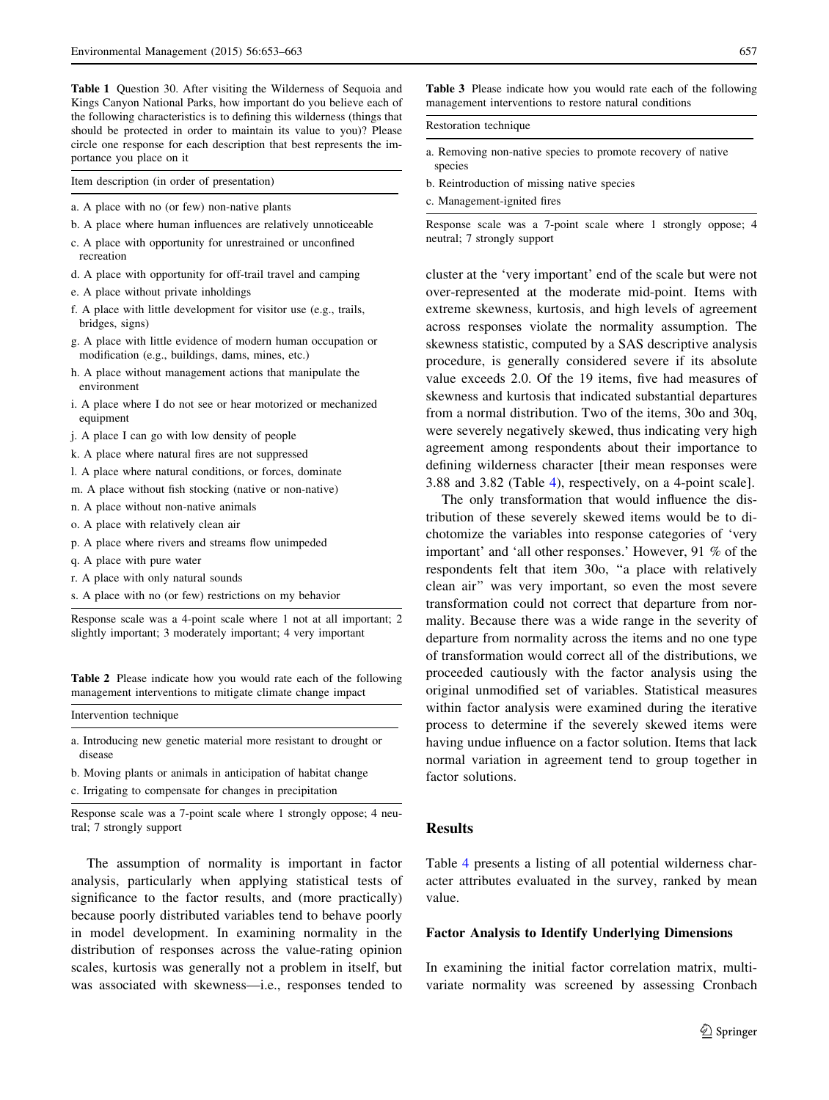<span id="page-4-0"></span>Table 1 Question 30. After visiting the Wilderness of Sequoia and Kings Canyon National Parks, how important do you believe each of the following characteristics is to defining this wilderness (things that should be protected in order to maintain its value to you)? Please circle one response for each description that best represents the importance you place on it

Item description (in order of presentation)

- a. A place with no (or few) non-native plants
- b. A place where human influences are relatively unnoticeable
- c. A place with opportunity for unrestrained or unconfined recreation
- d. A place with opportunity for off-trail travel and camping
- e. A place without private inholdings
- f. A place with little development for visitor use (e.g., trails, bridges, signs)
- g. A place with little evidence of modern human occupation or modification (e.g., buildings, dams, mines, etc.)
- h. A place without management actions that manipulate the environment
- i. A place where I do not see or hear motorized or mechanized equipment
- j. A place I can go with low density of people
- k. A place where natural fires are not suppressed
- l. A place where natural conditions, or forces, dominate
- m. A place without fish stocking (native or non-native)
- n. A place without non-native animals
- o. A place with relatively clean air
- p. A place where rivers and streams flow unimpeded
- q. A place with pure water
- r. A place with only natural sounds
- s. A place with no (or few) restrictions on my behavior

Response scale was a 4-point scale where 1 not at all important; 2 slightly important; 3 moderately important; 4 very important

Table 2 Please indicate how you would rate each of the following management interventions to mitigate climate change impact

Intervention technique

a. Introducing new genetic material more resistant to drought or disease

- b. Moving plants or animals in anticipation of habitat change
- c. Irrigating to compensate for changes in precipitation

Response scale was a 7-point scale where 1 strongly oppose; 4 neutral; 7 strongly support

The assumption of normality is important in factor analysis, particularly when applying statistical tests of significance to the factor results, and (more practically) because poorly distributed variables tend to behave poorly in model development. In examining normality in the distribution of responses across the value-rating opinion scales, kurtosis was generally not a problem in itself, but was associated with skewness—i.e., responses tended to

Table 3 Please indicate how you would rate each of the following management interventions to restore natural conditions

#### Restoration technique

- a. Removing non-native species to promote recovery of native species
- b. Reintroduction of missing native species
- c. Management-ignited fires

Response scale was a 7-point scale where 1 strongly oppose; 4 neutral; 7 strongly support

cluster at the 'very important' end of the scale but were not over-represented at the moderate mid-point. Items with extreme skewness, kurtosis, and high levels of agreement across responses violate the normality assumption. The skewness statistic, computed by a SAS descriptive analysis procedure, is generally considered severe if its absolute value exceeds 2.0. Of the 19 items, five had measures of skewness and kurtosis that indicated substantial departures from a normal distribution. Two of the items, 30o and 30q, were severely negatively skewed, thus indicating very high agreement among respondents about their importance to defining wilderness character [their mean responses were 3.88 and 3.82 (Table [4\)](#page-5-0), respectively, on a 4-point scale].

The only transformation that would influence the distribution of these severely skewed items would be to dichotomize the variables into response categories of 'very important' and 'all other responses.' However, 91 % of the respondents felt that item 30o, ''a place with relatively clean air'' was very important, so even the most severe transformation could not correct that departure from normality. Because there was a wide range in the severity of departure from normality across the items and no one type of transformation would correct all of the distributions, we proceeded cautiously with the factor analysis using the original unmodified set of variables. Statistical measures within factor analysis were examined during the iterative process to determine if the severely skewed items were having undue influence on a factor solution. Items that lack normal variation in agreement tend to group together in factor solutions.

## Results

Table [4](#page-5-0) presents a listing of all potential wilderness character attributes evaluated in the survey, ranked by mean value.

#### Factor Analysis to Identify Underlying Dimensions

In examining the initial factor correlation matrix, multivariate normality was screened by assessing Cronbach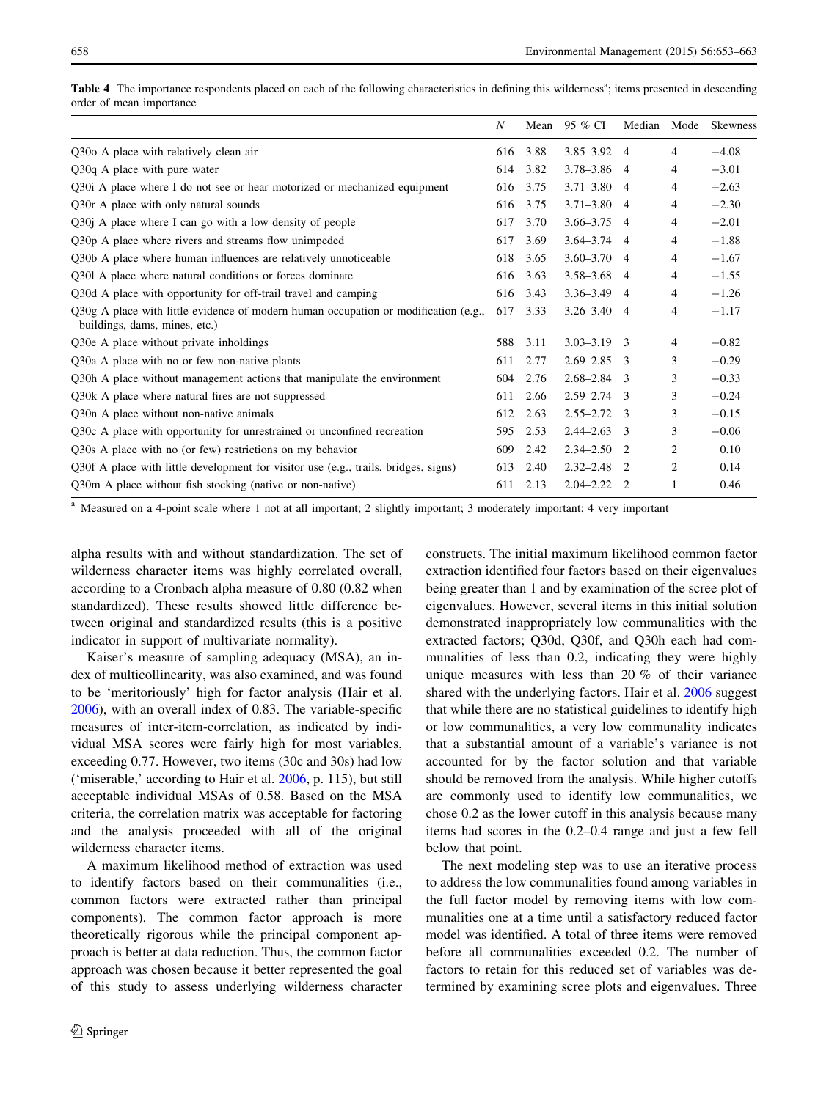|                                                                                                                        | N   | Mean | 95 % CI         | Median | Mode           | Skewness |
|------------------------------------------------------------------------------------------------------------------------|-----|------|-----------------|--------|----------------|----------|
| Q30o A place with relatively clean air                                                                                 | 616 | 3.88 | $3.85 - 3.92$ 4 |        | 4              | $-4.08$  |
| Q30q A place with pure water                                                                                           | 614 | 3.82 | $3.78 - 3.86$ 4 |        | 4              | $-3.01$  |
| Q30i A place where I do not see or hear motorized or mechanized equipment                                              | 616 | 3.75 | $3.71 - 3.80$ 4 |        | 4              | $-2.63$  |
| Q30r A place with only natural sounds                                                                                  | 616 | 3.75 | $3.71 - 3.80$ 4 |        | 4              | $-2.30$  |
| Q30j A place where I can go with a low density of people                                                               | 617 | 3.70 | $3.66 - 3.75$ 4 |        | 4              | $-2.01$  |
| Q30p A place where rivers and streams flow unimpeded                                                                   | 617 | 3.69 | $3.64 - 3.74$ 4 |        | 4              | $-1.88$  |
| Q30b A place where human influences are relatively unnoticeable                                                        | 618 | 3.65 | $3.60 - 3.70$ 4 |        | 4              | $-1.67$  |
| Q301 A place where natural conditions or forces dominate                                                               | 616 | 3.63 | $3.58 - 3.68$ 4 |        | 4              | $-1.55$  |
| Q30d A place with opportunity for off-trail travel and camping                                                         | 616 | 3.43 | $3.36 - 3.49$ 4 |        | 4              | $-1.26$  |
| $Q30g$ A place with little evidence of modern human occupation or modification (e.g.,<br>buildings, dams, mines, etc.) | 617 | 3.33 | $3.26 - 3.40$ 4 |        | 4              | $-1.17$  |
| Q30e A place without private inholdings                                                                                | 588 | 3.11 | $3.03 - 3.19$ 3 |        | 4              | $-0.82$  |
| Q30a A place with no or few non-native plants                                                                          | 611 | 2.77 | $2.69 - 2.85$ 3 |        | 3              | $-0.29$  |
| Q30h A place without management actions that manipulate the environment                                                | 604 | 2.76 | $2.68 - 2.84$ 3 |        | 3              | $-0.33$  |
| Q30k A place where natural fires are not suppressed                                                                    | 611 | 2.66 | $2.59 - 2.74$ 3 |        | 3              | $-0.24$  |
| Q30n A place without non-native animals                                                                                | 612 | 2.63 | $2.55 - 2.72$ 3 |        | 3              | $-0.15$  |
| Q30c A place with opportunity for unrestrained or unconfined recreation                                                | 595 | 2.53 | $2.44 - 2.63$ 3 |        | 3              | $-0.06$  |
| Q30s A place with no (or few) restrictions on my behavior                                                              | 609 | 2.42 | $2.34 - 2.50$ 2 |        | $\overline{c}$ | 0.10     |
| Q30f A place with little development for visitor use (e.g., trails, bridges, signs)                                    | 613 | 2.40 | $2.32 - 2.48$ 2 |        | 2              | 0.14     |
| Q30m A place without fish stocking (native or non-native)                                                              | 611 | 2.13 | $2.04 - 2.22$   | -2     |                | 0.46     |

<span id="page-5-0"></span>Table 4 The importance respondents placed on each of the following characteristics in defining this wilderness<sup>a</sup>; items presented in descending order of mean importance

<sup>a</sup> Measured on a 4-point scale where 1 not at all important; 2 slightly important; 3 moderately important; 4 very important

alpha results with and without standardization. The set of wilderness character items was highly correlated overall, according to a Cronbach alpha measure of 0.80 (0.82 when standardized). These results showed little difference between original and standardized results (this is a positive indicator in support of multivariate normality).

Kaiser's measure of sampling adequacy (MSA), an index of multicollinearity, was also examined, and was found to be 'meritoriously' high for factor analysis (Hair et al. [2006\)](#page-10-0), with an overall index of 0.83. The variable-specific measures of inter-item-correlation, as indicated by individual MSA scores were fairly high for most variables, exceeding 0.77. However, two items (30c and 30s) had low ('miserable,' according to Hair et al. [2006](#page-10-0), p. 115), but still acceptable individual MSAs of 0.58. Based on the MSA criteria, the correlation matrix was acceptable for factoring and the analysis proceeded with all of the original wilderness character items.

A maximum likelihood method of extraction was used to identify factors based on their communalities (i.e., common factors were extracted rather than principal components). The common factor approach is more theoretically rigorous while the principal component approach is better at data reduction. Thus, the common factor approach was chosen because it better represented the goal of this study to assess underlying wilderness character constructs. The initial maximum likelihood common factor extraction identified four factors based on their eigenvalues being greater than 1 and by examination of the scree plot of eigenvalues. However, several items in this initial solution demonstrated inappropriately low communalities with the extracted factors; Q30d, Q30f, and Q30h each had communalities of less than 0.2, indicating they were highly unique measures with less than 20 % of their variance shared with the underlying factors. Hair et al. [2006](#page-10-0) suggest that while there are no statistical guidelines to identify high or low communalities, a very low communality indicates that a substantial amount of a variable's variance is not accounted for by the factor solution and that variable should be removed from the analysis. While higher cutoffs are commonly used to identify low communalities, we chose 0.2 as the lower cutoff in this analysis because many items had scores in the 0.2–0.4 range and just a few fell below that point.

The next modeling step was to use an iterative process to address the low communalities found among variables in the full factor model by removing items with low communalities one at a time until a satisfactory reduced factor model was identified. A total of three items were removed before all communalities exceeded 0.2. The number of factors to retain for this reduced set of variables was determined by examining scree plots and eigenvalues. Three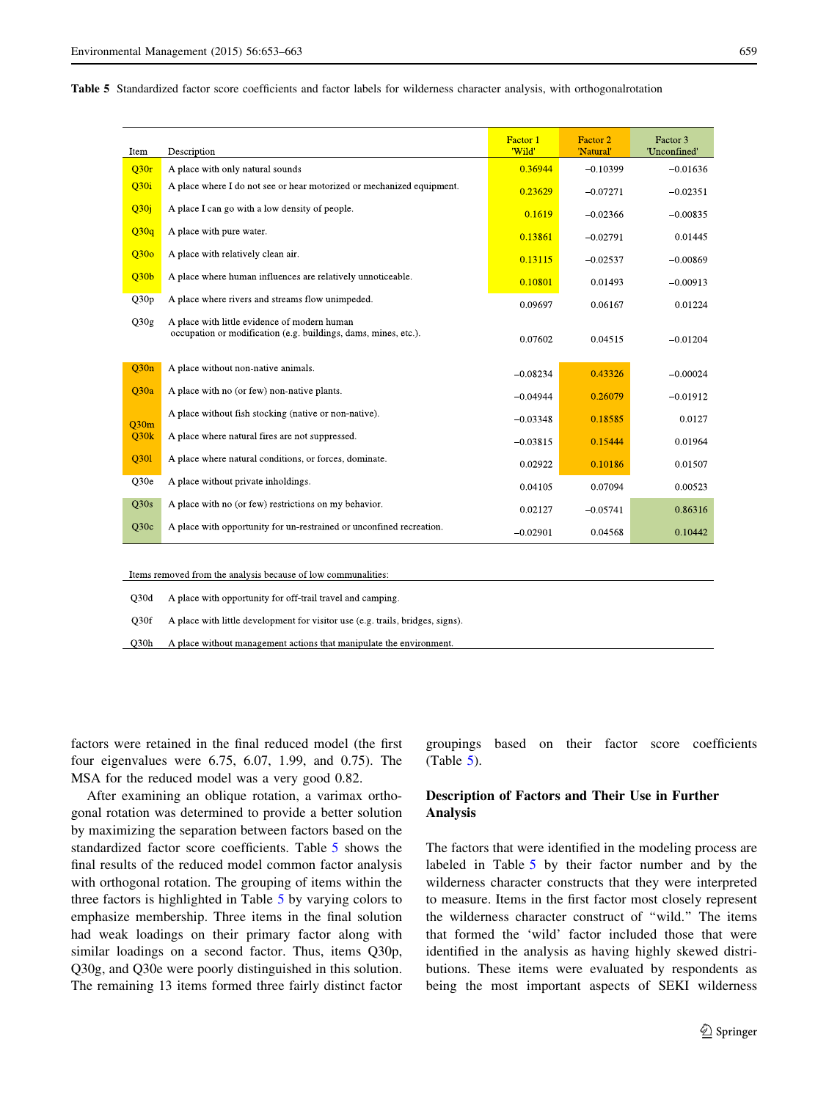<span id="page-6-0"></span>Table 5 Standardized factor score coefficients and factor labels for wilderness character analysis, with orthogonalrotation

| Item                                                          | Description                                                                                                     | Factor 1<br>"Wild" | Factor 2<br>'Natural' | Factor 3<br>'Unconfined' |  |  |
|---------------------------------------------------------------|-----------------------------------------------------------------------------------------------------------------|--------------------|-----------------------|--------------------------|--|--|
| Q <sub>30r</sub>                                              | A place with only natural sounds                                                                                | 0.36944            | $-0.10399$            | $-0.01636$               |  |  |
|                                                               |                                                                                                                 |                    |                       |                          |  |  |
| Q30i                                                          | A place where I do not see or hear motorized or mechanized equipment.                                           | 0.23629            | $-0.07271$            | $-0.02351$               |  |  |
| Q <sub>30j</sub>                                              | A place I can go with a low density of people.                                                                  | 0.1619             | $-0.02366$            | $-0.00835$               |  |  |
| Q30q                                                          | A place with pure water.                                                                                        | 0.13861            | $-0.02791$            | 0.01445                  |  |  |
| Q30 <sub>o</sub>                                              | A place with relatively clean air.                                                                              | 0.13115            | $-0.02537$            | $-0.00869$               |  |  |
| Q30 <sub>b</sub>                                              | A place where human influences are relatively unnoticeable.                                                     | 0.10801            | 0.01493               | $-0.00913$               |  |  |
| O30p                                                          | A place where rivers and streams flow unimpeded.                                                                | 0.09697            | 0.06167               | 0.01224                  |  |  |
| Q30g                                                          | A place with little evidence of modern human<br>occupation or modification (e.g. buildings, dams, mines, etc.). | 0.07602            | 0.04515               | $-0.01204$               |  |  |
| O30n                                                          | A place without non-native animals.                                                                             | $-0.08234$         | 0.43326               | $-0.00024$               |  |  |
| Q30a                                                          | A place with no (or few) non-native plants.                                                                     | $-0.04944$         | 0.26079               | $-0.01912$               |  |  |
| O30m                                                          | A place without fish stocking (native or non-native).                                                           | $-0.03348$         | 0.18585               | 0.0127                   |  |  |
| Q30k                                                          | A place where natural fires are not suppressed.                                                                 | $-0.03815$         | 0.15444               | 0.01964                  |  |  |
| Q301                                                          | A place where natural conditions, or forces, dominate.                                                          | 0.02922            | 0.10186               | 0.01507                  |  |  |
| O <sub>30e</sub>                                              | A place without private inholdings.                                                                             | 0.04105            | 0.07094               | 0.00523                  |  |  |
| Q30s                                                          | A place with no (or few) restrictions on my behavior.                                                           | 0.02127            | $-0.05741$            | 0.86316                  |  |  |
| Q30c                                                          | A place with opportunity for un-restrained or unconfined recreation.                                            | $-0.02901$         | 0.04568               | 0.10442                  |  |  |
| Items removed from the analysis because of low communalities. |                                                                                                                 |                    |                       |                          |  |  |

Q30d A place with opportunity for off-trail travel and camping.  $O30f$ A place with little development for visitor use (e.g. trails, bridges, signs).

A place without management actions that manipulate the environment.  $O30h$ 

factors were retained in the final reduced model (the first four eigenvalues were 6.75, 6.07, 1.99, and 0.75). The MSA for the reduced model was a very good 0.82.

After examining an oblique rotation, a varimax orthogonal rotation was determined to provide a better solution by maximizing the separation between factors based on the standardized factor score coefficients. Table 5 shows the final results of the reduced model common factor analysis with orthogonal rotation. The grouping of items within the three factors is highlighted in Table 5 by varying colors to emphasize membership. Three items in the final solution had weak loadings on their primary factor along with similar loadings on a second factor. Thus, items Q30p, Q30g, and Q30e were poorly distinguished in this solution. The remaining 13 items formed three fairly distinct factor groupings based on their factor score coefficients  $(Table 5)$ .

# Description of Factors and Their Use in Further Analysis

The factors that were identified in the modeling process are labeled in Table 5 by their factor number and by the wilderness character constructs that they were interpreted to measure. Items in the first factor most closely represent the wilderness character construct of ''wild.'' The items that formed the 'wild' factor included those that were identified in the analysis as having highly skewed distributions. These items were evaluated by respondents as being the most important aspects of SEKI wilderness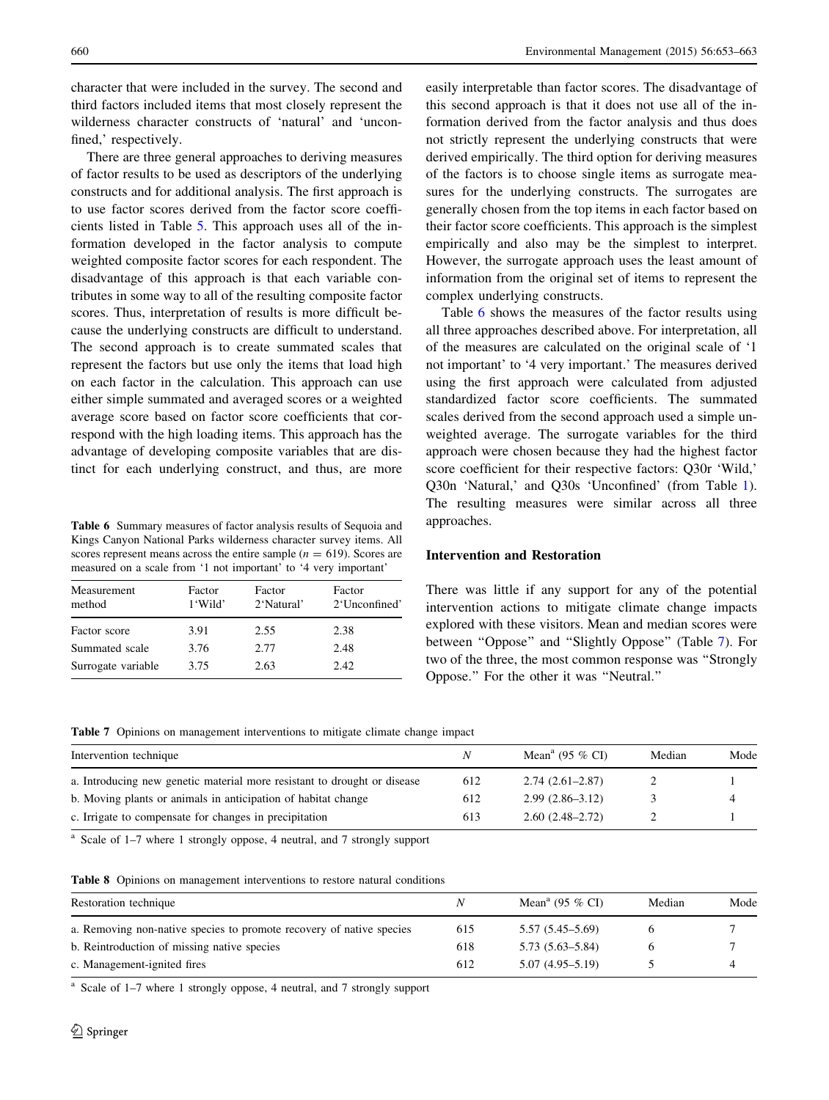<span id="page-7-0"></span>character that were included in the survey. The second and third factors included items that most closely represent the wilderness character constructs of 'natural' and 'unconfined,' respectively.

There are three general approaches to deriving measures of factor results to be used as descriptors of the underlying constructs and for additional analysis. The first approach is to use factor scores derived from the factor score coefficients listed in Table [5.](#page-6-0) This approach uses all of the information developed in the factor analysis to compute weighted composite factor scores for each respondent. The disadvantage of this approach is that each variable contributes in some way to all of the resulting composite factor scores. Thus, interpretation of results is more difficult because the underlying constructs are difficult to understand. The second approach is to create summated scales that represent the factors but use only the items that load high on each factor in the calculation. This approach can use either simple summated and averaged scores or a weighted average score based on factor score coefficients that correspond with the high loading items. This approach has the advantage of developing composite variables that are distinct for each underlying construct, and thus, are more

Table 6 Summary measures of factor analysis results of Sequoia and Kings Canyon National Parks wilderness character survey items. All scores represent means across the entire sample ( $n = 619$ ). Scores are measured on a scale from '1 not important' to '4 very important'

| Measurement<br>method | Factor<br>1 'Wild' | Factor<br>2'Natural' | Factor<br>2'Unconfined' |
|-----------------------|--------------------|----------------------|-------------------------|
| Factor score          | 3.91               | 2.55                 | 2.38                    |
| Summated scale        | 3.76               | 2.77                 | 2.48                    |
| Surrogate variable    | 3.75               | 2.63                 | 2.42.                   |
|                       |                    |                      |                         |

easily interpretable than factor scores. The disadvantage of this second approach is that it does not use all of the information derived from the factor analysis and thus does not strictly represent the underlying constructs that were derived empirically. The third option for deriving measures of the factors is to choose single items as surrogate measures for the underlying constructs. The surrogates are generally chosen from the top items in each factor based on their factor score coefficients. This approach is the simplest empirically and also may be the simplest to interpret. However, the surrogate approach uses the least amount of information from the original set of items to represent the complex underlying constructs.

Table [6](#page-6-0) shows the measures of the factor results using all three approaches described above. For interpretation, all of the measures are calculated on the original scale of '1 not important' to '4 very important.' The measures derived using the first approach were calculated from adjusted standardized factor score coefficients. The summated scales derived from the second approach used a simple unweighted average. The surrogate variables for the third approach were chosen because they had the highest factor score coefficient for their respective factors: Q30r 'Wild,' Q30n 'Natural,' and Q30s 'Unconfined' (from Table [1](#page-4-0)). The resulting measures were similar across all three approaches.

#### Intervention and Restoration

There was little if any support for any of the potential intervention actions to mitigate climate change impacts explored with these visitors. Mean and median scores were between ''Oppose'' and ''Slightly Oppose'' (Table 7). For two of the three, the most common response was ''Strongly Oppose.'' For the other it was ''Neutral.''

Table 7 Opinions on management interventions to mitigate climate change impact

| Intervention technique                                                   |     | Mean <sup>a</sup> (95 $\%$ CI) | Median | Mode |
|--------------------------------------------------------------------------|-----|--------------------------------|--------|------|
| a. Introducing new genetic material more resistant to drought or disease | 612 | $2.74(2.61-2.87)$              |        |      |
| b. Moving plants or animals in anticipation of habitat change            | 612 | $2.99(2.86-3.12)$              |        |      |
| c. Irrigate to compensate for changes in precipitation                   | 613 | $2.60(2.48-2.72)$              |        |      |

<sup>a</sup> Scale of 1–7 where 1 strongly oppose, 4 neutral, and 7 strongly support

|  |  | <b>Table 8</b> Opinions on management interventions to restore natural conditions |  |  |  |  |
|--|--|-----------------------------------------------------------------------------------|--|--|--|--|
|--|--|-----------------------------------------------------------------------------------|--|--|--|--|

| Restoration technique                                                | Ν   | Mean <sup>a</sup> (95 % CI) | Median | Mode |
|----------------------------------------------------------------------|-----|-----------------------------|--------|------|
| a. Removing non-native species to promote recovery of native species | 615 | $5.57(5.45-5.69)$           |        |      |
| b. Reintroduction of missing native species                          | 618 | $5.73(5.63 - 5.84)$         |        |      |
| c. Management-ignited fires                                          | 612 | $5.07(4.95 - 5.19)$         |        |      |

<sup>a</sup> Scale of 1–7 where 1 strongly oppose, 4 neutral, and 7 strongly support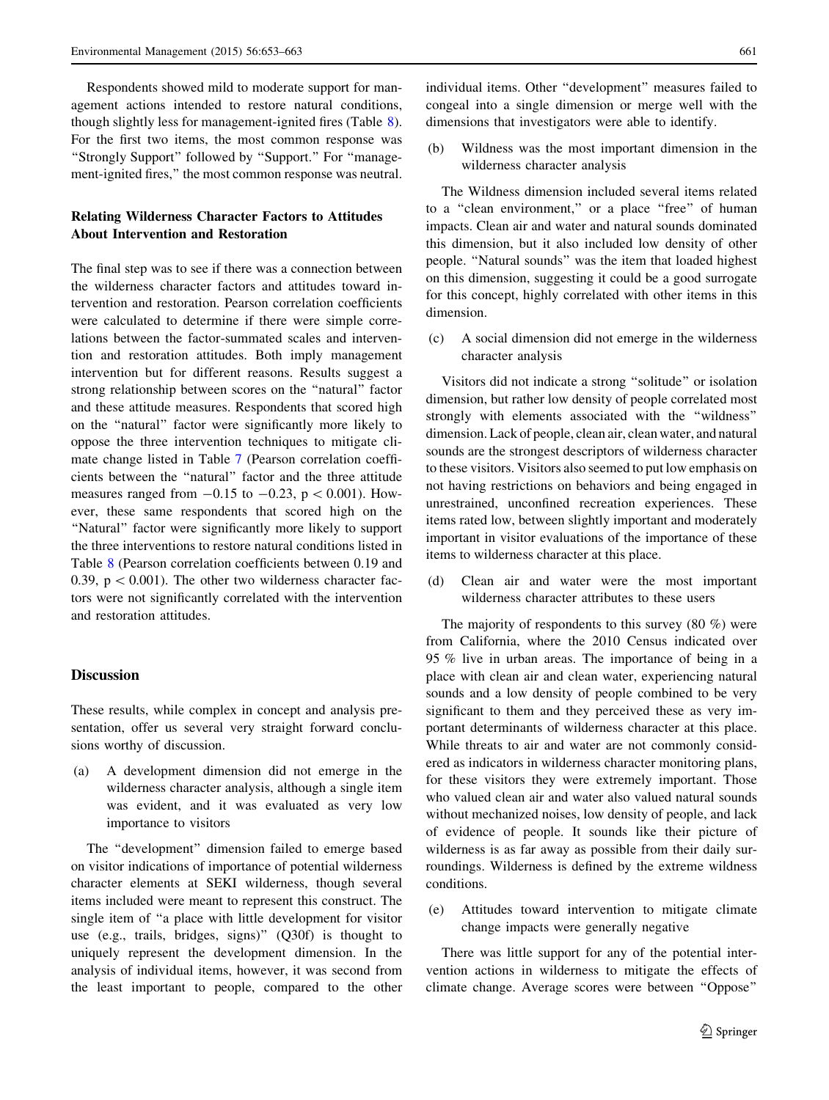<span id="page-8-0"></span>Respondents showed mild to moderate support for management actions intended to restore natural conditions, though slightly less for management-ignited fires (Table [8](#page-7-0)). For the first two items, the most common response was ''Strongly Support'' followed by ''Support.'' For ''management-ignited fires,'' the most common response was neutral.

# Relating Wilderness Character Factors to Attitudes About Intervention and Restoration

The final step was to see if there was a connection between the wilderness character factors and attitudes toward intervention and restoration. Pearson correlation coefficients were calculated to determine if there were simple correlations between the factor-summated scales and intervention and restoration attitudes. Both imply management intervention but for different reasons. Results suggest a strong relationship between scores on the ''natural'' factor and these attitude measures. Respondents that scored high on the ''natural'' factor were significantly more likely to oppose the three intervention techniques to mitigate climate change listed in Table [7](#page-7-0) (Pearson correlation coefficients between the ''natural'' factor and the three attitude measures ranged from  $-0.15$  to  $-0.23$ ,  $p < 0.001$ ). However, these same respondents that scored high on the "Natural" factor were significantly more likely to support the three interventions to restore natural conditions listed in Table [8](#page-7-0) (Pearson correlation coefficients between 0.19 and 0.39,  $p < 0.001$ ). The other two wilderness character factors were not significantly correlated with the intervention and restoration attitudes.

# Discussion

These results, while complex in concept and analysis presentation, offer us several very straight forward conclusions worthy of discussion.

(a) A development dimension did not emerge in the wilderness character analysis, although a single item was evident, and it was evaluated as very low importance to visitors

The ''development'' dimension failed to emerge based on visitor indications of importance of potential wilderness character elements at SEKI wilderness, though several items included were meant to represent this construct. The single item of ''a place with little development for visitor use (e.g., trails, bridges, signs)'' (Q30f) is thought to uniquely represent the development dimension. In the analysis of individual items, however, it was second from the least important to people, compared to the other individual items. Other ''development'' measures failed to congeal into a single dimension or merge well with the dimensions that investigators were able to identify.

(b) Wildness was the most important dimension in the wilderness character analysis

The Wildness dimension included several items related to a "clean environment," or a place "free" of human impacts. Clean air and water and natural sounds dominated this dimension, but it also included low density of other people. ''Natural sounds'' was the item that loaded highest on this dimension, suggesting it could be a good surrogate for this concept, highly correlated with other items in this dimension.

(c) A social dimension did not emerge in the wilderness character analysis

Visitors did not indicate a strong ''solitude'' or isolation dimension, but rather low density of people correlated most strongly with elements associated with the ''wildness'' dimension. Lack of people, clean air, clean water, and natural sounds are the strongest descriptors of wilderness character to these visitors. Visitors also seemed to put low emphasis on not having restrictions on behaviors and being engaged in unrestrained, unconfined recreation experiences. These items rated low, between slightly important and moderately important in visitor evaluations of the importance of these items to wilderness character at this place.

(d) Clean air and water were the most important wilderness character attributes to these users

The majority of respondents to this survey (80 %) were from California, where the 2010 Census indicated over 95 % live in urban areas. The importance of being in a place with clean air and clean water, experiencing natural sounds and a low density of people combined to be very significant to them and they perceived these as very important determinants of wilderness character at this place. While threats to air and water are not commonly considered as indicators in wilderness character monitoring plans, for these visitors they were extremely important. Those who valued clean air and water also valued natural sounds without mechanized noises, low density of people, and lack of evidence of people. It sounds like their picture of wilderness is as far away as possible from their daily surroundings. Wilderness is defined by the extreme wildness conditions.

(e) Attitudes toward intervention to mitigate climate change impacts were generally negative

There was little support for any of the potential intervention actions in wilderness to mitigate the effects of climate change. Average scores were between ''Oppose''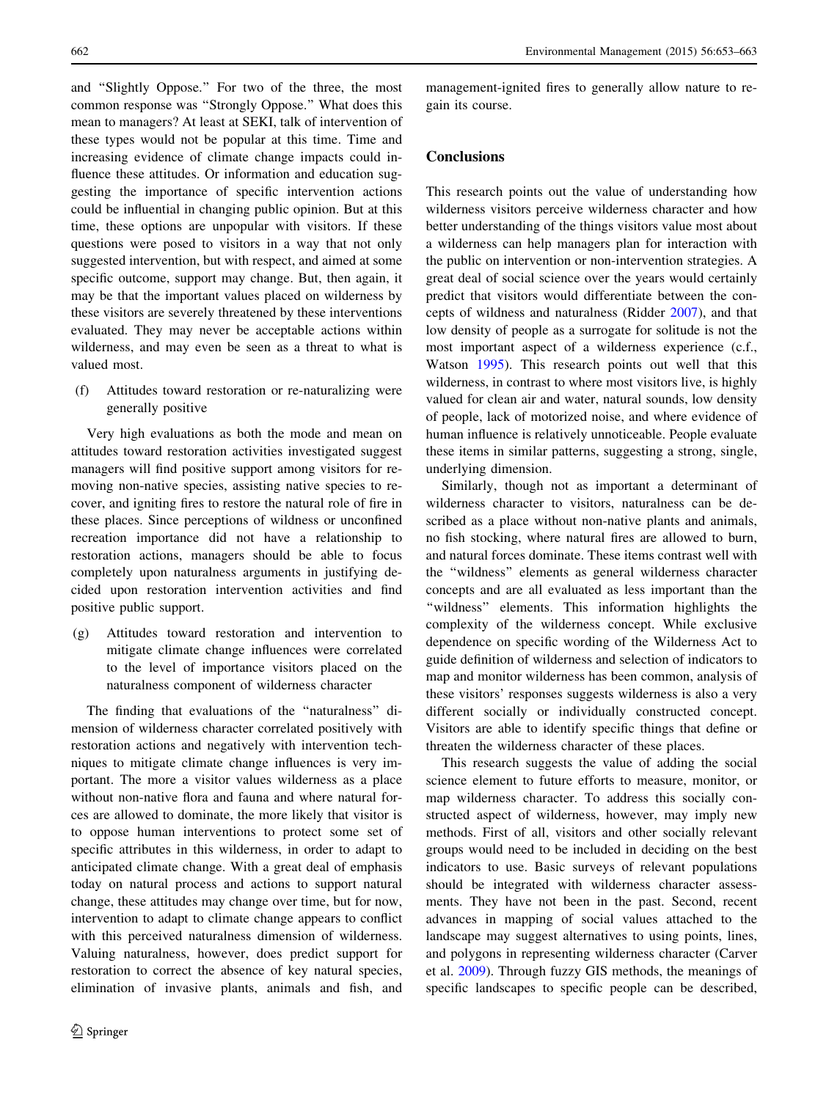and ''Slightly Oppose.'' For two of the three, the most common response was ''Strongly Oppose.'' What does this mean to managers? At least at SEKI, talk of intervention of these types would not be popular at this time. Time and increasing evidence of climate change impacts could influence these attitudes. Or information and education suggesting the importance of specific intervention actions could be influential in changing public opinion. But at this time, these options are unpopular with visitors. If these questions were posed to visitors in a way that not only suggested intervention, but with respect, and aimed at some specific outcome, support may change. But, then again, it may be that the important values placed on wilderness by these visitors are severely threatened by these interventions evaluated. They may never be acceptable actions within wilderness, and may even be seen as a threat to what is valued most.

(f) Attitudes toward restoration or re-naturalizing were generally positive

Very high evaluations as both the mode and mean on attitudes toward restoration activities investigated suggest managers will find positive support among visitors for removing non-native species, assisting native species to recover, and igniting fires to restore the natural role of fire in these places. Since perceptions of wildness or unconfined recreation importance did not have a relationship to restoration actions, managers should be able to focus completely upon naturalness arguments in justifying decided upon restoration intervention activities and find positive public support.

(g) Attitudes toward restoration and intervention to mitigate climate change influences were correlated to the level of importance visitors placed on the naturalness component of wilderness character

The finding that evaluations of the ''naturalness'' dimension of wilderness character correlated positively with restoration actions and negatively with intervention techniques to mitigate climate change influences is very important. The more a visitor values wilderness as a place without non-native flora and fauna and where natural forces are allowed to dominate, the more likely that visitor is to oppose human interventions to protect some set of specific attributes in this wilderness, in order to adapt to anticipated climate change. With a great deal of emphasis today on natural process and actions to support natural change, these attitudes may change over time, but for now, intervention to adapt to climate change appears to conflict with this perceived naturalness dimension of wilderness. Valuing naturalness, however, does predict support for restoration to correct the absence of key natural species, elimination of invasive plants, animals and fish, and management-ignited fires to generally allow nature to regain its course.

# **Conclusions**

This research points out the value of understanding how wilderness visitors perceive wilderness character and how better understanding of the things visitors value most about a wilderness can help managers plan for interaction with the public on intervention or non-intervention strategies. A great deal of social science over the years would certainly predict that visitors would differentiate between the concepts of wildness and naturalness (Ridder [2007\)](#page-10-0), and that low density of people as a surrogate for solitude is not the most important aspect of a wilderness experience (c.f., Watson [1995](#page-10-0)). This research points out well that this wilderness, in contrast to where most visitors live, is highly valued for clean air and water, natural sounds, low density of people, lack of motorized noise, and where evidence of human influence is relatively unnoticeable. People evaluate these items in similar patterns, suggesting a strong, single, underlying dimension.

Similarly, though not as important a determinant of wilderness character to visitors, naturalness can be described as a place without non-native plants and animals, no fish stocking, where natural fires are allowed to burn, and natural forces dominate. These items contrast well with the ''wildness'' elements as general wilderness character concepts and are all evaluated as less important than the "wildness" elements. This information highlights the complexity of the wilderness concept. While exclusive dependence on specific wording of the Wilderness Act to guide definition of wilderness and selection of indicators to map and monitor wilderness has been common, analysis of these visitors' responses suggests wilderness is also a very different socially or individually constructed concept. Visitors are able to identify specific things that define or threaten the wilderness character of these places.

This research suggests the value of adding the social science element to future efforts to measure, monitor, or map wilderness character. To address this socially constructed aspect of wilderness, however, may imply new methods. First of all, visitors and other socially relevant groups would need to be included in deciding on the best indicators to use. Basic surveys of relevant populations should be integrated with wilderness character assessments. They have not been in the past. Second, recent advances in mapping of social values attached to the landscape may suggest alternatives to using points, lines, and polygons in representing wilderness character (Carver et al. [2009](#page-10-0)). Through fuzzy GIS methods, the meanings of specific landscapes to specific people can be described,